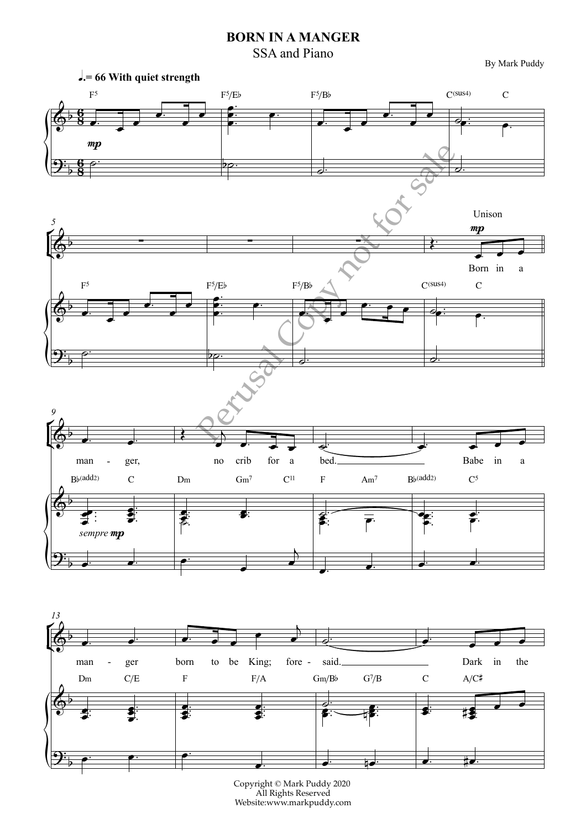## **BORN IN A MANGER**

SSA and Piano

By Mark Puddy



Copyright © Mark Puddy 2020 All Rights Reserved Website:www.markpuddy.com

e. e. e. ∴<br>● <mark>e</mark>. *e.* #e.

 $\left| \rule{0pt}{10pt} \right.$ 

 $9\frac{1}{2}$  p  $\frac{1}{2}$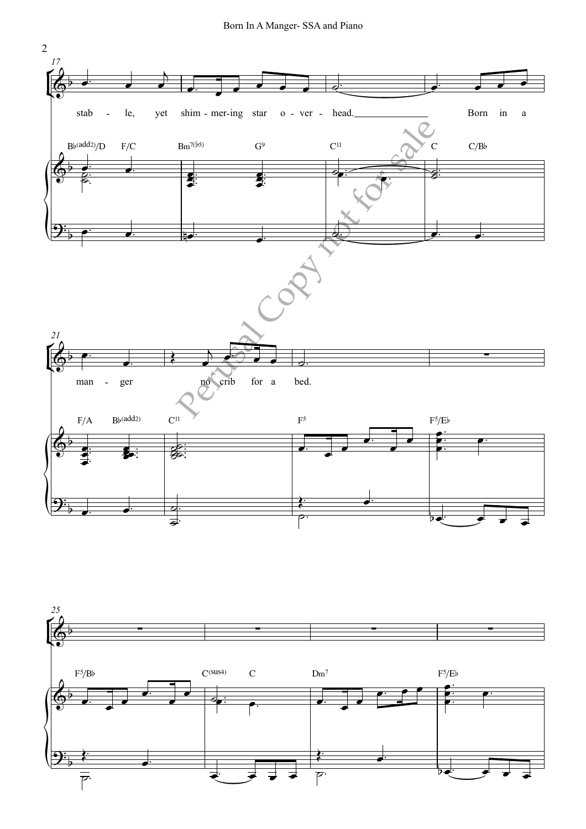

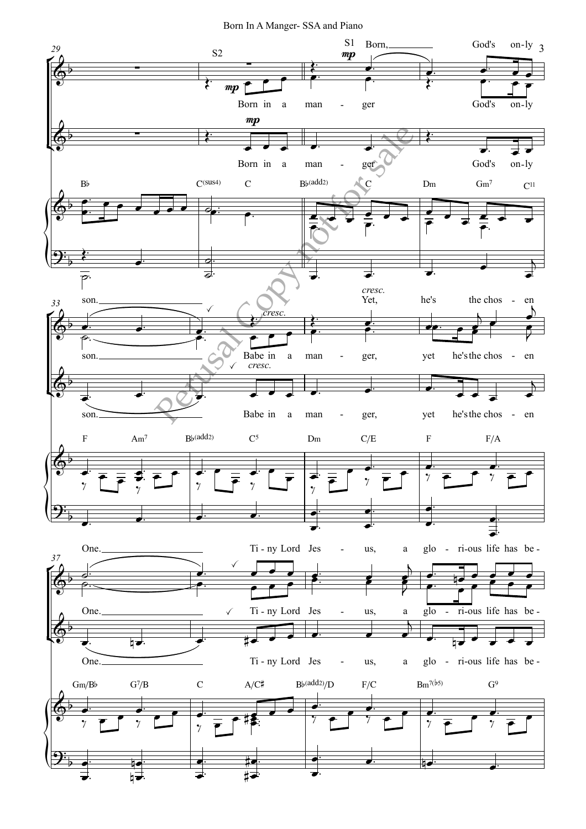